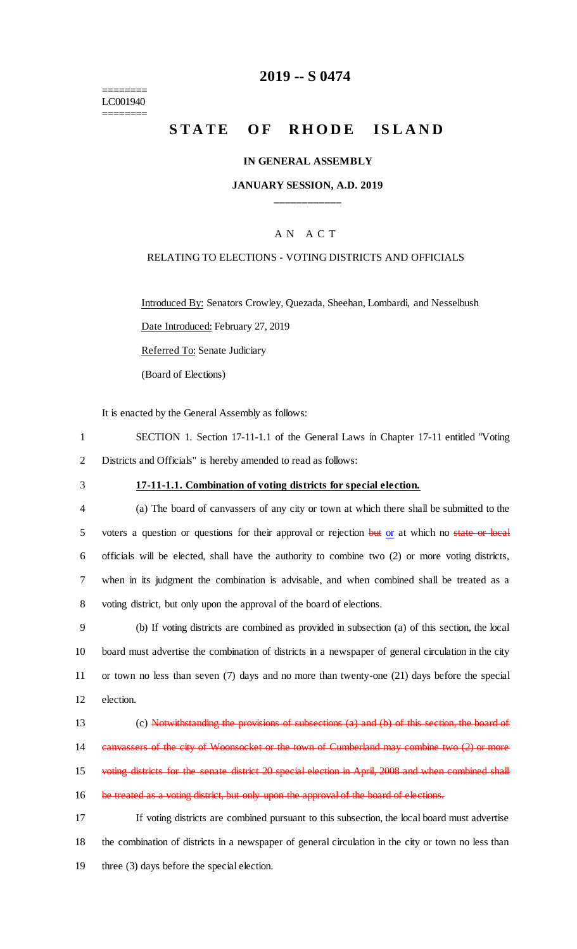#### ======== LC001940 ========

## **2019 -- S 0474**

# **STATE OF RHODE ISLAND**

#### **IN GENERAL ASSEMBLY**

### **JANUARY SESSION, A.D. 2019 \_\_\_\_\_\_\_\_\_\_\_\_**

## A N A C T

#### RELATING TO ELECTIONS - VOTING DISTRICTS AND OFFICIALS

Introduced By: Senators Crowley, Quezada, Sheehan, Lombardi, and Nesselbush Date Introduced: February 27, 2019

Referred To: Senate Judiciary

(Board of Elections)

It is enacted by the General Assembly as follows:

1 SECTION 1. Section 17-11-1.1 of the General Laws in Chapter 17-11 entitled "Voting 2 Districts and Officials" is hereby amended to read as follows:

## 3 **17-11-1.1. Combination of voting districts for special election.**

 (a) The board of canvassers of any city or town at which there shall be submitted to the 5 voters a question or questions for their approval or rejection but or at which no state or local officials will be elected, shall have the authority to combine two (2) or more voting districts, when in its judgment the combination is advisable, and when combined shall be treated as a voting district, but only upon the approval of the board of elections.

 (b) If voting districts are combined as provided in subsection (a) of this section, the local board must advertise the combination of districts in a newspaper of general circulation in the city or town no less than seven (7) days and no more than twenty-one (21) days before the special election.

13 (c) Notwithstanding the provisions of subsections (a) and (b) of this section, the board of 14 canvassers of the city of Woonsocket or the town of Cumberland may combine two (2) or more 15 voting districts for the senate district 20 special election in April, 2008 and when combined shall 16 be treated as a voting district, but only upon the approval of the board of elections. 17 If voting districts are combined pursuant to this subsection, the local board must advertise 18 the combination of districts in a newspaper of general circulation in the city or town no less than

19 three (3) days before the special election.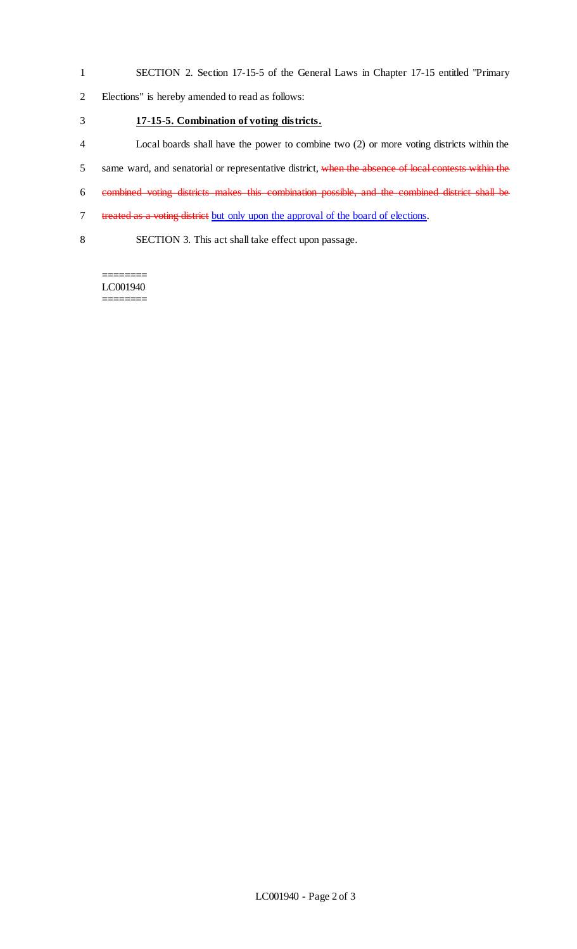1 SECTION 2. Section 17-15-5 of the General Laws in Chapter 17-15 entitled "Primary

2 Elections" is hereby amended to read as follows:

- 3 **17-15-5. Combination of voting districts.**
- 4 Local boards shall have the power to combine two (2) or more voting districts within the
- 5 same ward, and senatorial or representative district, when the absence of local contests within the
- 6 combined voting districts makes this combination possible, and the combined district shall be
- 7 treated as a voting district but only upon the approval of the board of elections.
- 8 SECTION 3. This act shall take effect upon passage.

LC001940 ========

========